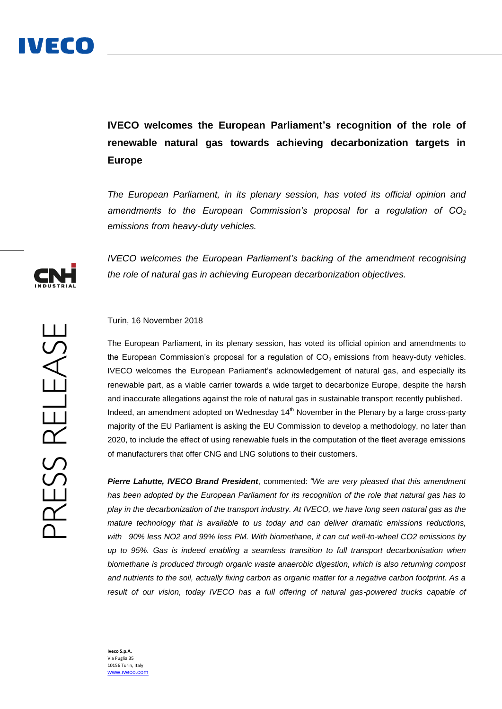**IVECO welcomes the European Parliament's recognition of the role of renewable natural gas towards achieving decarbonization targets in Europe**

*The European Parliament, in its plenary session, has voted its official opinion and amendments to the European Commission's proposal for a regulation of CO<sup>2</sup> emissions from heavy-duty vehicles.*

*IVECO welcomes the European Parliament's backing of the amendment recognising the role of natural gas in achieving European decarbonization objectives.*

## Turin, 16 November 2018

The European Parliament, in its plenary session, has voted its official opinion and amendments to the European Commission's proposal for a regulation of  $CO<sub>2</sub>$  emissions from heavy-duty vehicles. IVECO welcomes the European Parliament's acknowledgement of natural gas, and especially its renewable part, as a viable carrier towards a wide target to decarbonize Europe, despite the harsh and inaccurate allegations against the role of natural gas in sustainable transport recently published. Indeed, an amendment adopted on Wednesday  $14<sup>th</sup>$  November in the Plenary by a large cross-party majority of the EU Parliament is asking the EU Commission to develop a methodology, no later than 2020, to include the effect of using renewable fuels in the computation of the fleet average emissions of manufacturers that offer CNG and LNG solutions to their customers.

*Pierre Lahutte, IVECO Brand President*, commented: *"We are very pleased that this amendment has been adopted by the European Parliament for its recognition of the role that natural gas has to play in the decarbonization of the transport industry. At IVECO, we have long seen natural gas as the mature technology that is available to us today and can deliver dramatic emissions reductions, with 90% less NO2 and 99% less PM. With biomethane, it can cut well-to-wheel CO2 emissions by up to 95%. Gas is indeed enabling a seamless transition to full transport decarbonisation when biomethane is produced through organic waste anaerobic digestion, which is also returning compost and nutrients to the soil, actually fixing carbon as organic matter for a negative carbon footprint. As a*  result of our vision, today IVECO has a full offering of natural gas-powered trucks capable of

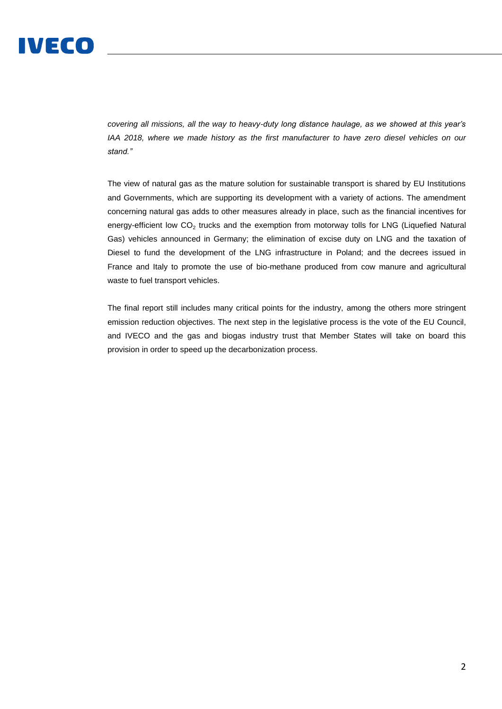

*covering all missions, all the way to heavy-duty long distance haulage, as we showed at this year's IAA 2018, where we made history as the first manufacturer to have zero diesel vehicles on our stand."*

The view of natural gas as the mature solution for sustainable transport is shared by EU Institutions and Governments, which are supporting its development with a variety of actions. The amendment concerning natural gas adds to other measures already in place, such as the financial incentives for energy-efficient low  $CO<sub>2</sub>$  trucks and the exemption from motorway tolls for LNG (Liquefied Natural Gas) vehicles announced in Germany; the elimination of excise duty on LNG and the taxation of Diesel to fund the development of the LNG infrastructure in Poland; and the decrees issued in France and Italy to promote the use of bio-methane produced from cow manure and agricultural waste to fuel transport vehicles.

The final report still includes many critical points for the industry, among the others more stringent emission reduction objectives. The next step in the legislative process is the vote of the EU Council, and IVECO and the gas and biogas industry trust that Member States will take on board this provision in order to speed up the decarbonization process.